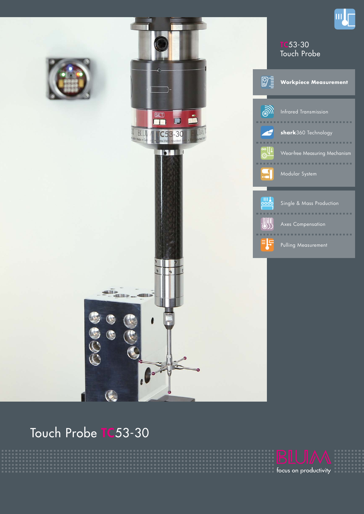

# Touch Probe TC53-30